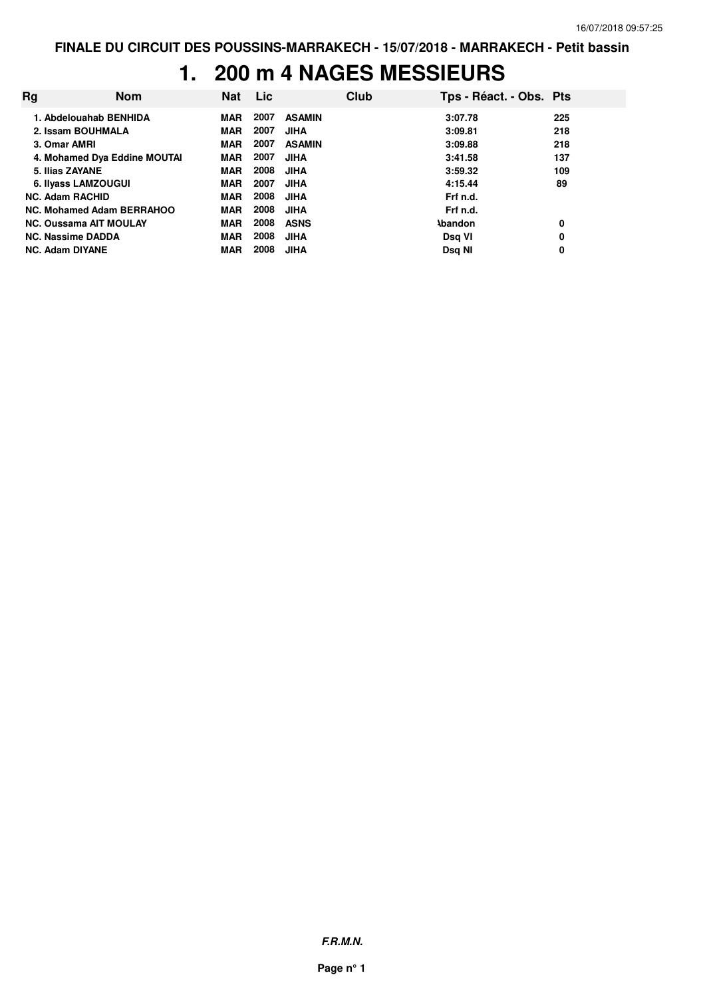#### **1. 200 m 4 NAGES MESSIEURS**

| Rg                            | <b>Nom</b>                   | Nat        | <b>Lic</b> |               | Club | Tps - Réact. - Obs. Pts |     |
|-------------------------------|------------------------------|------------|------------|---------------|------|-------------------------|-----|
| 1. Abdelouahab BENHIDA        |                              | MAR        | 2007       | <b>ASAMIN</b> |      | 3:07.78                 | 225 |
| 2. Issam BOUHMALA             |                              | <b>MAR</b> | 2007       | <b>JIHA</b>   |      | 3:09.81                 | 218 |
| 3. Omar AMRI                  |                              | <b>MAR</b> | 2007       | <b>ASAMIN</b> |      | 3:09.88                 | 218 |
|                               | 4. Mohamed Dya Eddine MOUTAI | <b>MAR</b> | 2007       | <b>JIHA</b>   |      | 3:41.58                 | 137 |
| 5. Ilias ZAYANE               |                              | <b>MAR</b> | 2008       | <b>JIHA</b>   |      | 3:59.32                 | 109 |
| 6. Ilyass LAMZOUGUI           |                              | MAR        | 2007       | <b>JIHA</b>   |      | 4:15.44                 | 89  |
| <b>NC. Adam RACHID</b>        |                              | <b>MAR</b> | 2008       | <b>JIHA</b>   |      | Frf n.d.                |     |
| NC. Mohamed Adam BERRAHOO     |                              | <b>MAR</b> | 2008       | <b>JIHA</b>   |      | Frf n.d.                |     |
| <b>NC. Oussama AIT MOULAY</b> |                              | <b>MAR</b> | 2008       | <b>ASNS</b>   |      | <b>Abandon</b>          | 0   |
| <b>NC. Nassime DADDA</b>      |                              | <b>MAR</b> | 2008       | <b>JIHA</b>   |      | Dsq VI                  | 0   |
| <b>NC. Adam DIYANE</b>        |                              | <b>MAR</b> | 2008       | <b>JIHA</b>   |      | Dsq NI                  | 0   |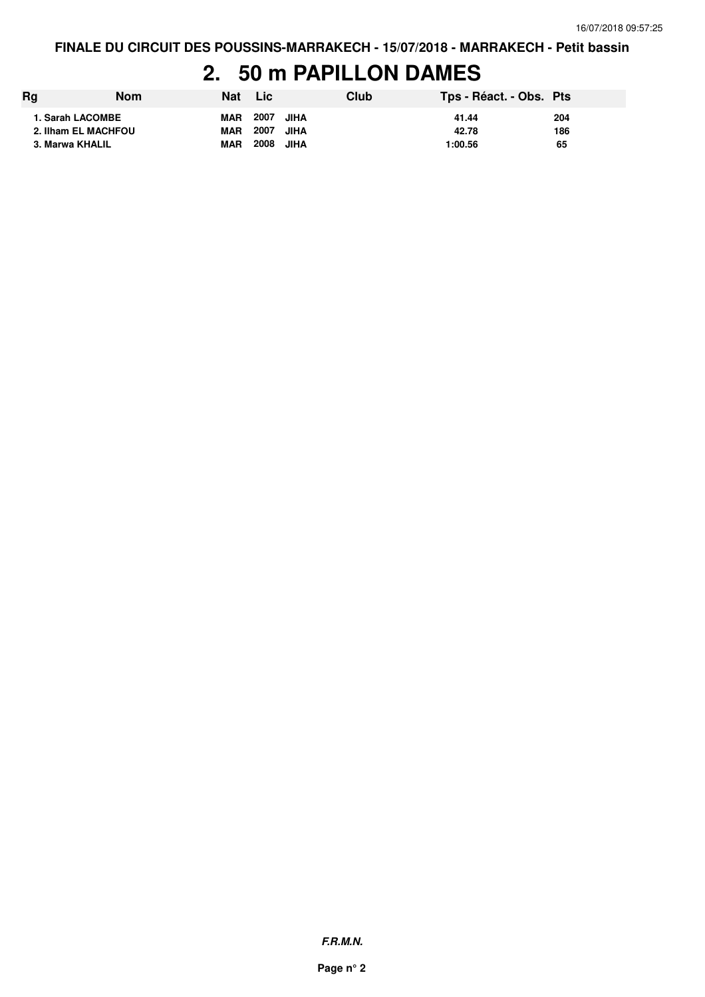#### **2. 50 m PAPILLON DAMES**

| Rg                                      | <b>Nom</b> | Nat                      | Lic.              | Club | Tps - Réact. - Obs. Pts |            |
|-----------------------------------------|------------|--------------------------|-------------------|------|-------------------------|------------|
| 1. Sarah LACOMBE<br>2. Ilham EL MACHFOU |            | <b>MAR</b><br><b>MAR</b> | 2007<br>2007 JIHA | JIHA | 41.44<br>42.78          | 204<br>186 |
| 3. Marwa KHALIL                         |            | <b>MAR</b>               | 2008              | JIHA | 1:00.56                 | 65         |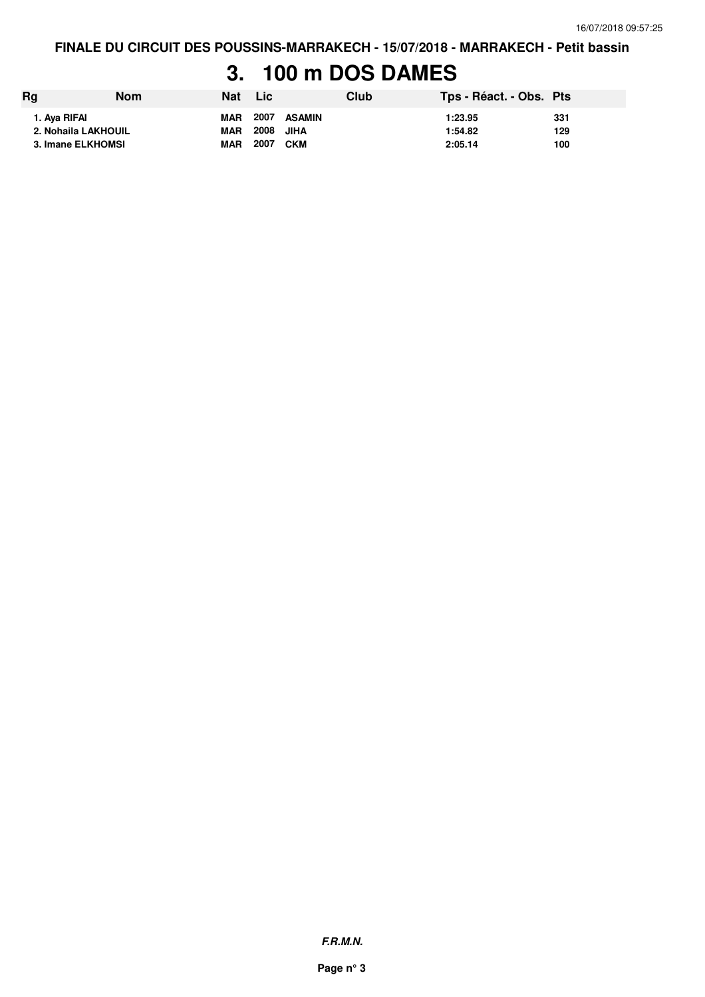### **3. 100 m DOS DAMES**

| Rg                                  | <b>Nom</b> | Nat                      | Lic               |        | Club | Tps - Réact. - Obs. Pts |            |
|-------------------------------------|------------|--------------------------|-------------------|--------|------|-------------------------|------------|
| 1. Aya RIFAI<br>2. Nohaila LAKHOUIL |            | <b>MAR</b><br><b>MAR</b> | 2007<br>2008 JIHA | ASAMIN |      | 1:23.95<br>1:54.82      | 331<br>129 |
| 3. Imane ELKHOMSI                   |            | <b>MAR</b>               | 2007              | CKM    |      | 2:05.14                 | 100        |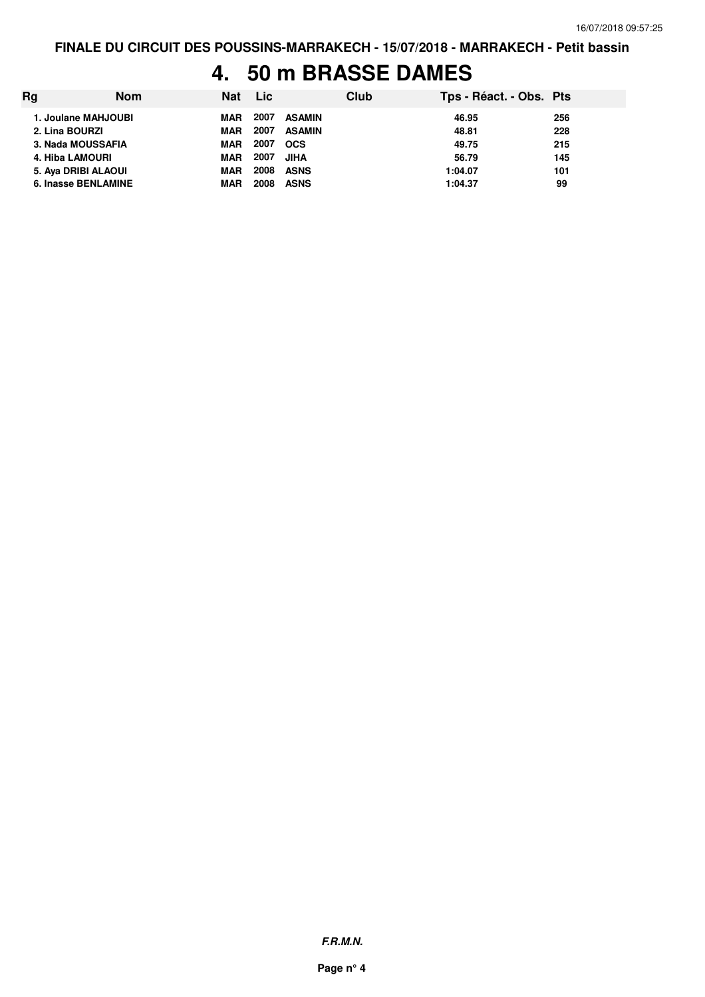#### **4. 50 m BRASSE DAMES**

| Rg | <b>Nom</b>             | Nat        | Lic  |               | Club | Tps - Réact. - Obs. Pts |     |
|----|------------------------|------------|------|---------------|------|-------------------------|-----|
|    | 1. Joulane MAHJOUBI    | <b>MAR</b> | 2007 | ASAMIN        |      | 46.95                   | 256 |
|    | 2. Lina BOURZI         | <b>MAR</b> | 2007 | <b>ASAMIN</b> |      | 48.81                   | 228 |
|    | 3. Nada MOUSSAFIA      | <b>MAR</b> | 2007 | <b>OCS</b>    |      | 49.75                   | 215 |
|    | <b>4. Hiba LAMOURI</b> | <b>MAR</b> | 2007 | <b>JIHA</b>   |      | 56.79                   | 145 |
|    | 5. Aya DRIBI ALAOUI    | <b>MAR</b> | 2008 | ASNS          |      | 1:04.07                 | 101 |
|    | 6. Inasse BENLAMINE    | <b>MAR</b> | 2008 | <b>ASNS</b>   |      | 1:04.37                 | 99  |

**F.R.M.N.**

**Page n° 4**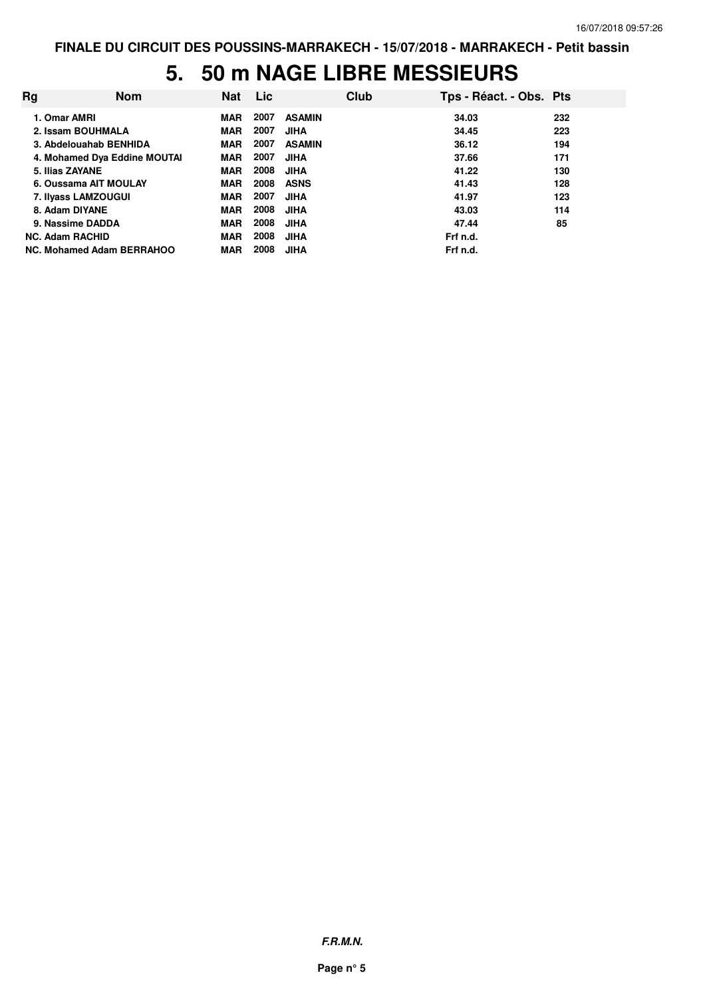# **5. 50 m NAGE LIBRE MESSIEURS**

| Rg                        | <b>Nom</b>                   | Nat        | <b>Lic</b> |               | Club | Tps - Réact. - Obs. Pts |     |
|---------------------------|------------------------------|------------|------------|---------------|------|-------------------------|-----|
| 1. Omar AMRI              |                              | <b>MAR</b> | 2007       | <b>ASAMIN</b> |      | 34.03                   | 232 |
| 2. Issam BOUHMALA         |                              | <b>MAR</b> | 2007       | <b>JIHA</b>   |      | 34.45                   | 223 |
| 3. Abdelouahab BENHIDA    |                              | <b>MAR</b> | 2007       | <b>ASAMIN</b> |      | 36.12                   | 194 |
|                           | 4. Mohamed Dya Eddine MOUTAI | <b>MAR</b> | 2007       | <b>JIHA</b>   |      | 37.66                   | 171 |
| 5. Ilias ZAYANE           |                              | <b>MAR</b> | 2008       | <b>JIHA</b>   |      | 41.22                   | 130 |
| 6. Oussama AIT MOULAY     |                              | <b>MAR</b> | 2008       | <b>ASNS</b>   |      | 41.43                   | 128 |
| 7. Ilyass LAMZOUGUI       |                              | MAR        | 2007       | <b>JIHA</b>   |      | 41.97                   | 123 |
| 8. Adam DIYANE            |                              | MAR        | 2008       | <b>JIHA</b>   |      | 43.03                   | 114 |
| 9. Nassime DADDA          |                              | <b>MAR</b> | 2008       | <b>JIHA</b>   |      | 47.44                   | 85  |
| <b>NC. Adam RACHID</b>    |                              | MAR        | 2008       | <b>JIHA</b>   |      | Frf n.d.                |     |
| NC. Mohamed Adam BERRAHOO |                              | <b>MAR</b> | 2008       | <b>JIHA</b>   |      | Frf n.d.                |     |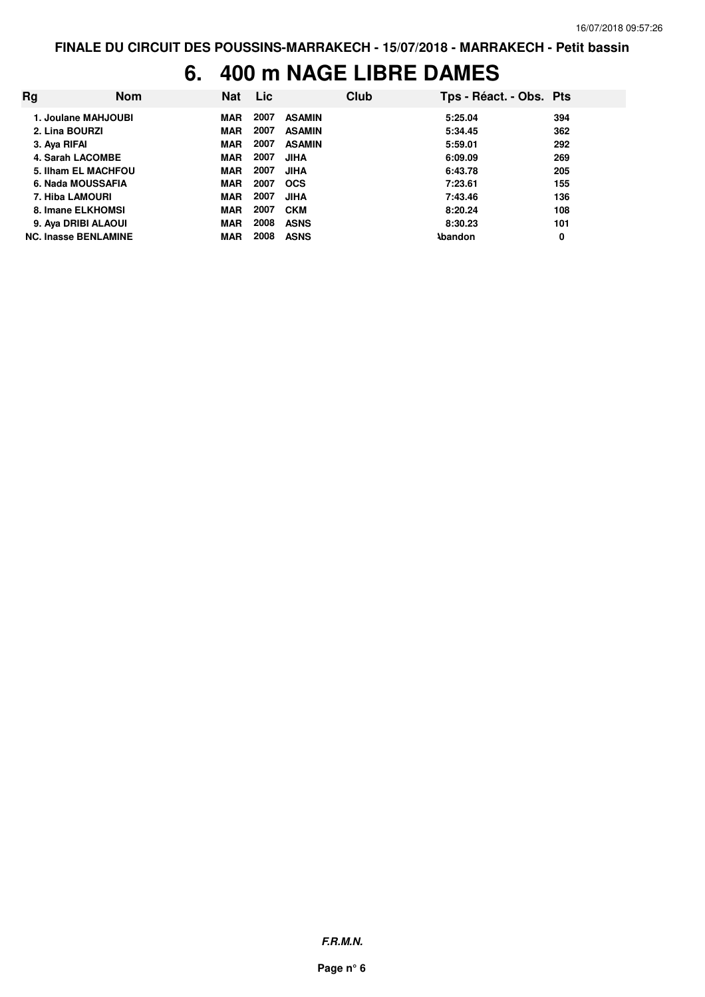## **6. 400 m NAGE LIBRE DAMES**

| Rg                          | <b>Nom</b> | <b>Nat</b> | <b>Lic</b> |               | Club | Tps - Réact. - Obs. Pts |     |
|-----------------------------|------------|------------|------------|---------------|------|-------------------------|-----|
| 1. Joulane MAHJOUBI         |            | MAR        | 2007       | <b>ASAMIN</b> |      | 5:25.04                 | 394 |
| 2. Lina BOURZI              |            | <b>MAR</b> | 2007       | <b>ASAMIN</b> |      | 5:34.45                 | 362 |
| 3. Aya RIFAI                |            | <b>MAR</b> | 2007       | <b>ASAMIN</b> |      | 5:59.01                 | 292 |
| 4. Sarah LACOMBE            |            | <b>MAR</b> | 2007       | <b>JIHA</b>   |      | 6:09.09                 | 269 |
| 5. Ilham EL MACHFOU         |            | <b>MAR</b> | 2007       | <b>JIHA</b>   |      | 6:43.78                 | 205 |
| 6. Nada MOUSSAFIA           |            | <b>MAR</b> | 2007       | <b>OCS</b>    |      | 7:23.61                 | 155 |
| <b>7. Hiba LAMOURI</b>      |            | <b>MAR</b> | 2007       | <b>JIHA</b>   |      | 7:43.46                 | 136 |
| 8. Imane ELKHOMSI           |            | <b>MAR</b> | 2007       | <b>CKM</b>    |      | 8:20.24                 | 108 |
| 9. Aya DRIBI ALAOUI         |            | <b>MAR</b> | 2008       | <b>ASNS</b>   |      | 8:30.23                 | 101 |
| <b>NC. Inasse BENLAMINE</b> |            | <b>MAR</b> | 2008       | <b>ASNS</b>   |      | <b>Abandon</b>          | 0   |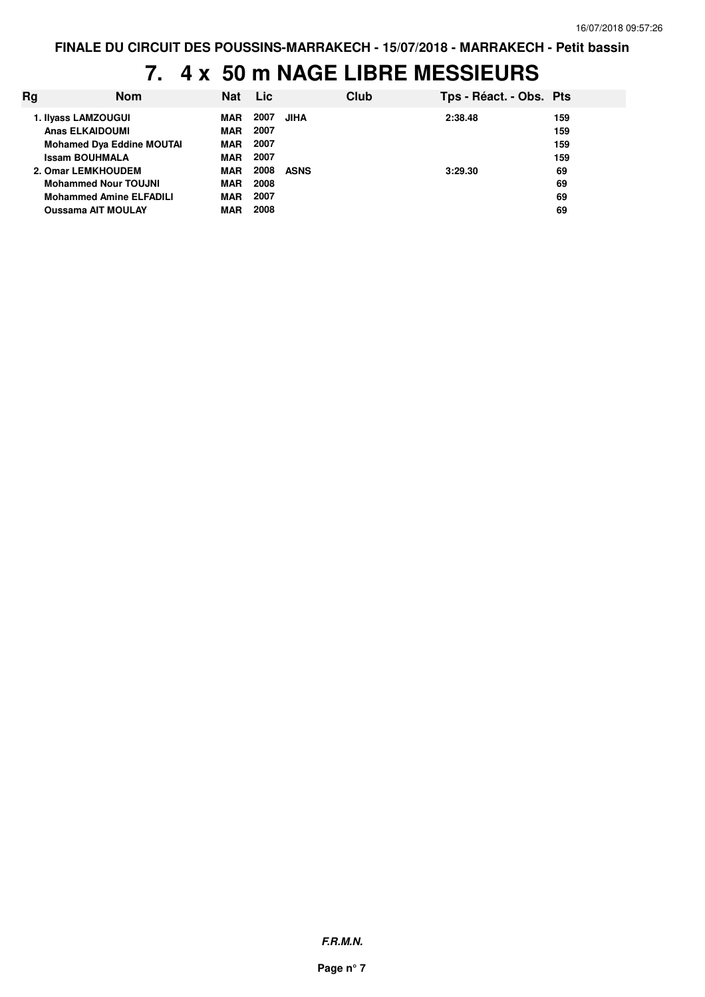# **7. 4 x 50 m NAGE LIBRE MESSIEURS**

| Ra | <b>Nom</b>                       | <b>Nat</b> | <b>Lic</b> |             | Club | Tps - Réact. - Obs. Pts |     |
|----|----------------------------------|------------|------------|-------------|------|-------------------------|-----|
|    | 1. Ilyass LAMZOUGUI              | MAR        | 2007       | <b>JIHA</b> |      | 2:38.48                 | 159 |
|    | <b>Anas ELKAIDOUMI</b>           | <b>MAR</b> | 2007       |             |      |                         | 159 |
|    | <b>Mohamed Dya Eddine MOUTAI</b> | <b>MAR</b> | 2007       |             |      |                         | 159 |
|    | <b>Issam BOUHMALA</b>            | <b>MAR</b> | 2007       |             |      |                         | 159 |
|    | 2. Omar LEMKHOUDEM               | <b>MAR</b> | 2008       | ASNS        |      | 3:29.30                 | 69  |
|    | <b>Mohammed Nour TOUJNI</b>      | <b>MAR</b> | 2008       |             |      |                         | 69  |
|    | <b>Mohammed Amine ELFADILI</b>   | <b>MAR</b> | 2007       |             |      |                         | 69  |
|    | <b>Oussama AIT MOULAY</b>        | <b>MAR</b> | 2008       |             |      |                         | 69  |
|    |                                  |            |            |             |      |                         |     |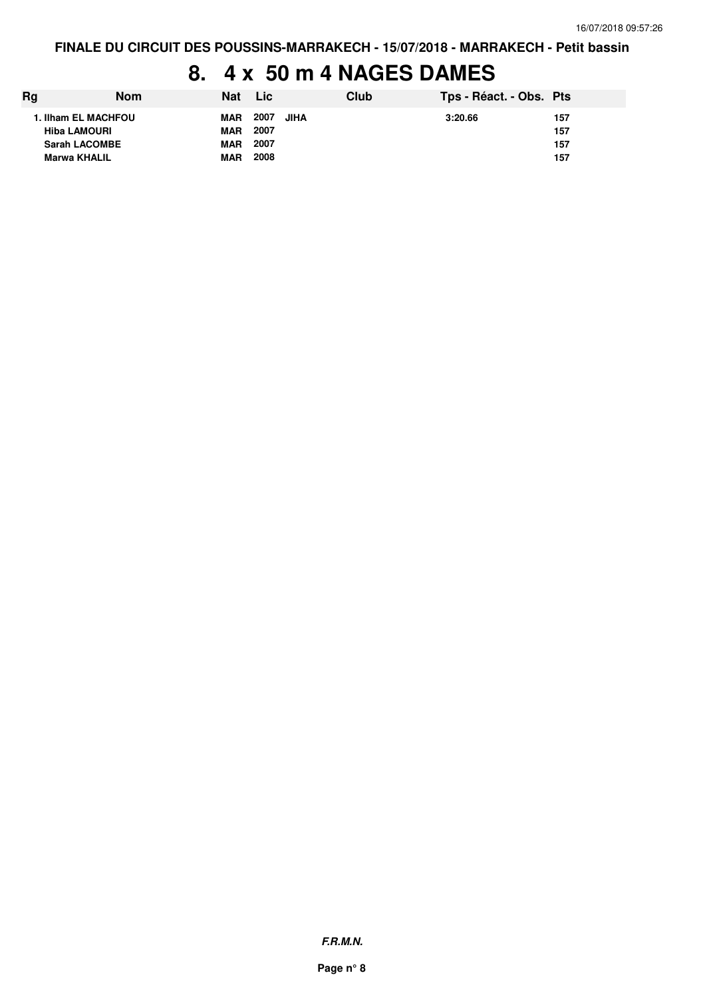## **8. 4 x 50 m 4 NAGES DAMES**

| Rg                   | <b>Nom</b> | <b>Nat</b> | Lic  |      | Club | Tps - Réact. - Obs. Pts |     |
|----------------------|------------|------------|------|------|------|-------------------------|-----|
| 1. Ilham EL MACHFOU  |            | MAR        | 2007 | JIHA |      | 3:20.66                 | 157 |
| <b>Hiba LAMOURI</b>  |            | MAR        | 2007 |      |      |                         | 157 |
| <b>Sarah LACOMBE</b> |            | <b>MAR</b> | 2007 |      |      |                         | 157 |
| <b>Marwa KHALIL</b>  |            | <b>MAR</b> | 2008 |      |      |                         | 157 |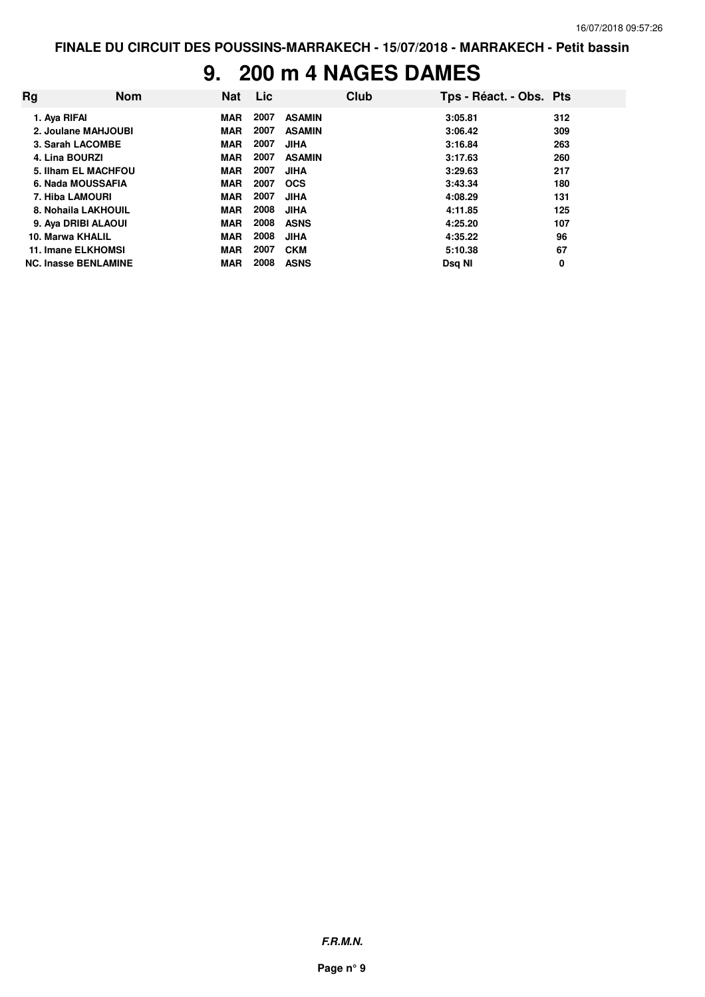#### **9. 200 m 4 NAGES DAMES**

| Rg | <b>Nom</b>                  | <b>Nat</b> | <b>Lic</b> |               | Club | Tps - Réact. - Obs. Pts |     |
|----|-----------------------------|------------|------------|---------------|------|-------------------------|-----|
|    | 1. Aya RIFAI                | <b>MAR</b> | 2007       | <b>ASAMIN</b> |      | 3:05.81                 | 312 |
|    | 2. Joulane MAHJOUBI         | <b>MAR</b> | 2007       | <b>ASAMIN</b> |      | 3:06.42                 | 309 |
|    | 3. Sarah LACOMBE            | <b>MAR</b> | 2007       | <b>JIHA</b>   |      | 3:16.84                 | 263 |
|    | 4. Lina BOURZI              | <b>MAR</b> | 2007       | <b>ASAMIN</b> |      | 3:17.63                 | 260 |
|    | 5. Ilham EL MACHFOU         | <b>MAR</b> | 2007       | <b>JIHA</b>   |      | 3:29.63                 | 217 |
|    | 6. Nada MOUSSAFIA           | <b>MAR</b> | 2007       | <b>OCS</b>    |      | 3:43.34                 | 180 |
|    | 7. Hiba LAMOURI             | <b>MAR</b> | 2007       | <b>JIHA</b>   |      | 4:08.29                 | 131 |
|    | 8. Nohaila LAKHOUIL         | <b>MAR</b> | 2008       | <b>JIHA</b>   |      | 4:11.85                 | 125 |
|    | 9. Aya DRIBI ALAOUI         | <b>MAR</b> | 2008       | <b>ASNS</b>   |      | 4:25.20                 | 107 |
|    | 10. Marwa KHALIL            | <b>MAR</b> | 2008       | <b>JIHA</b>   |      | 4:35.22                 | 96  |
|    | 11. Imane ELKHOMSI          | <b>MAR</b> | 2007       | <b>CKM</b>    |      | 5:10.38                 | 67  |
|    | <b>NC. Inasse BENLAMINE</b> | <b>MAR</b> | 2008       | <b>ASNS</b>   |      | Dsg NI                  | 0   |

**F.R.M.N.**

**Page n° 9**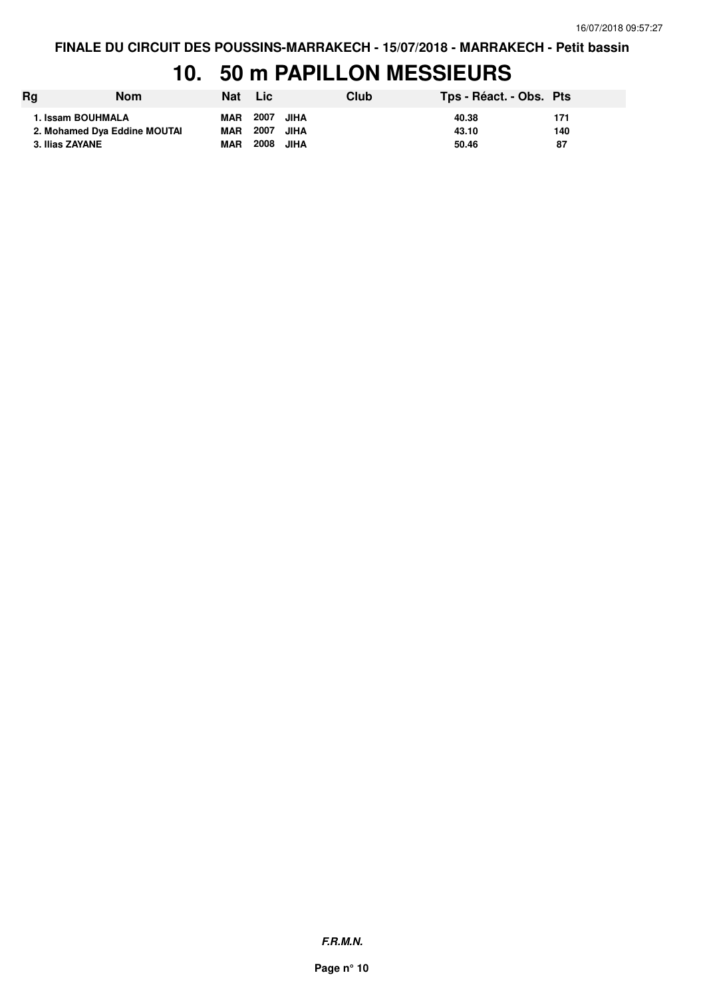# **10. 50 m PAPILLON MESSIEURS**

| Rg                           | Nom | Nat Lic    |           |      | Club | Tps - Réact. - Obs. Pts |     |
|------------------------------|-----|------------|-----------|------|------|-------------------------|-----|
| 1. Issam BOUHMALA            |     | <b>MAR</b> | 2007 JIHA |      |      | 40.38                   | 171 |
| 2. Mohamed Dya Eddine MOUTAI |     | MAR        | 2007 JIHA |      |      | 43.10                   | 140 |
| 3. Ilias ZAYANE              |     | <b>MAR</b> | 2008      | JIHA |      | 50.46                   | 87  |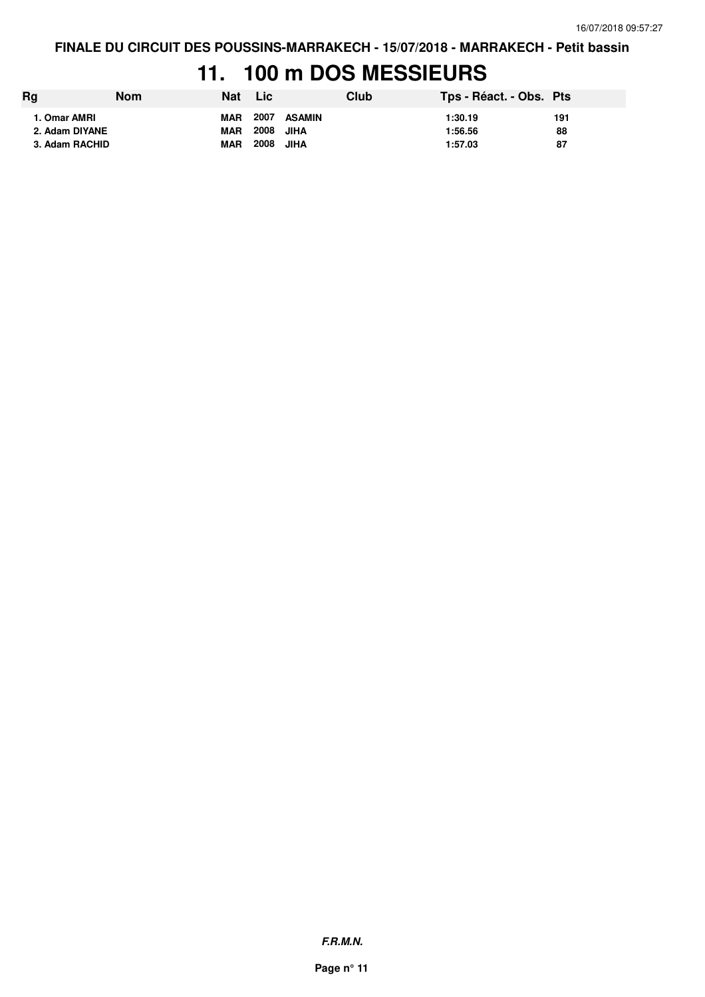## **11. 100 m DOS MESSIEURS**

| Rg                                               | Nom | Nat                                    | N Lic`                    |                | Club | Tps - Réact. - Obs. Pts       |                 |
|--------------------------------------------------|-----|----------------------------------------|---------------------------|----------------|------|-------------------------------|-----------------|
| 1. Omar AMRI<br>2. Adam DIYANE<br>3. Adam RACHID |     | <b>MAR</b><br><b>MAR</b><br><b>MAR</b> | 2007<br>2008 JIHA<br>2008 | ASAMIN<br>JIHA |      | 1:30.19<br>1:56.56<br>1:57.03 | 191<br>88<br>87 |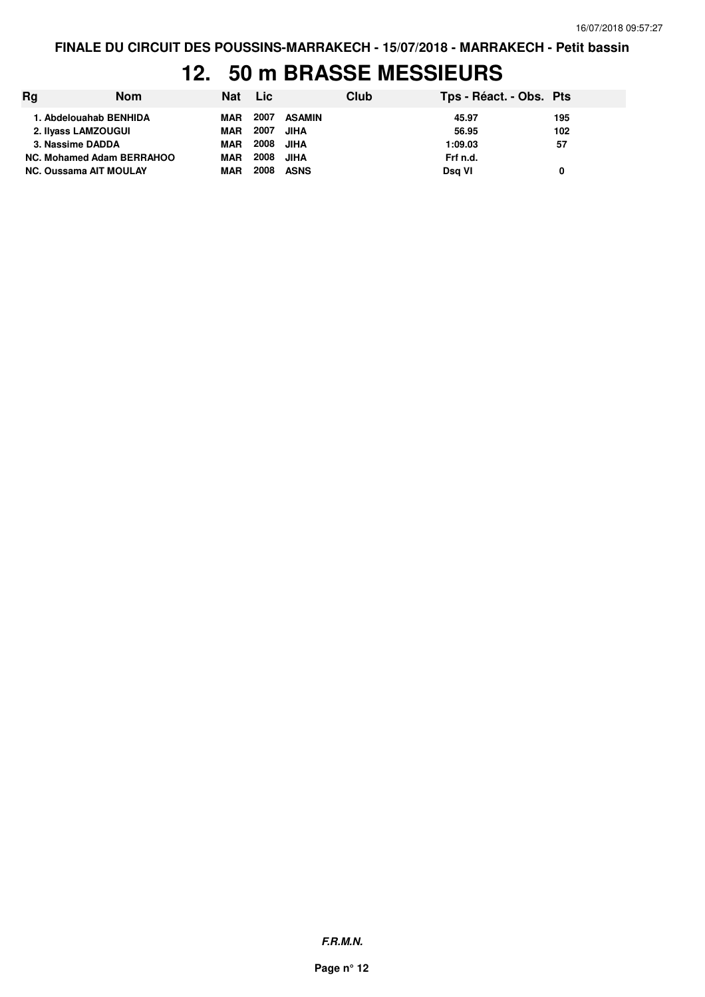#### **12. 50 m BRASSE MESSIEURS**

| Rg | <b>Nom</b>                    | Nat Lic    |      |             | Club | Tps - Réact. - Obs. Pts |     |
|----|-------------------------------|------------|------|-------------|------|-------------------------|-----|
|    | 1. Abdelouahab BENHIDA        | MAR        | 2007 | ASAMIN      |      | 45.97                   | 195 |
|    | 2. Ilyass LAMZOUGUI           | <b>MAR</b> | 2007 | <b>JIHA</b> |      | 56.95                   | 102 |
|    | 3. Nassime DADDA              | <b>MAR</b> | 2008 | JIHA        |      | 1:09.03                 | 57  |
|    | NC. Mohamed Adam BERRAHOO     | <b>MAR</b> | 2008 | <b>JIHA</b> |      | Frf n.d.                |     |
|    | <b>NC. Oussama AIT MOULAY</b> | <b>MAR</b> | 2008 | <b>ASNS</b> |      | Dsg VI                  | 0   |

**F.R.M.N.**

**Page n° 12**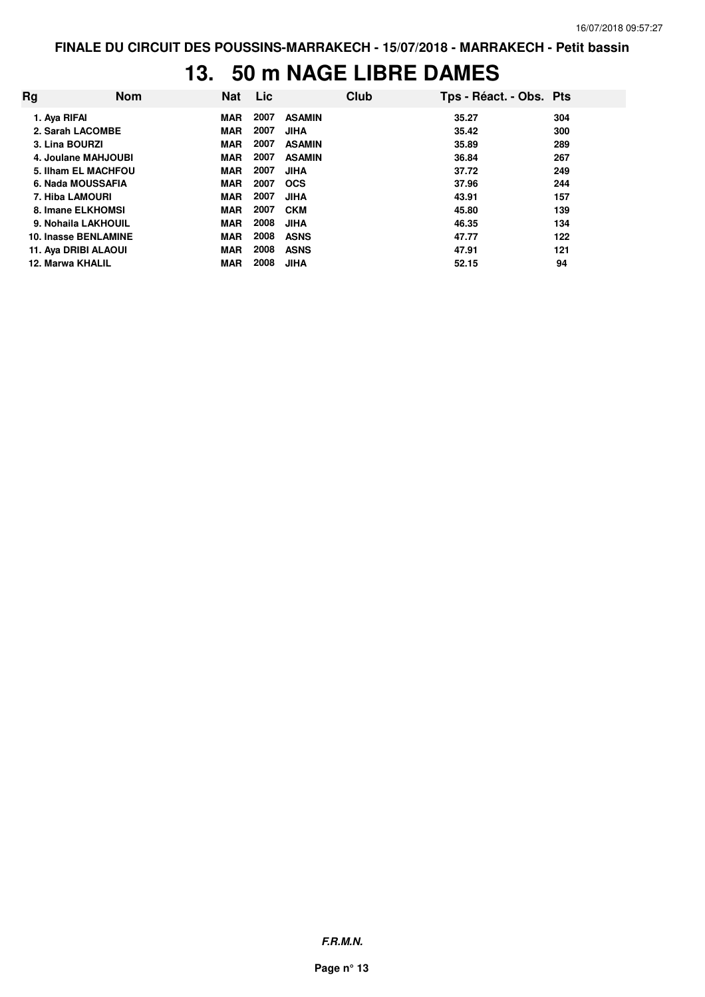## **13. 50 m NAGE LIBRE DAMES**

| Rg | <b>Nom</b>           | <b>Nat</b> | Lic. |               | Club | Tps - Réact. - Obs. Pts |     |
|----|----------------------|------------|------|---------------|------|-------------------------|-----|
|    | 1. Aya RIFAI         | MAR        | 2007 | <b>ASAMIN</b> |      | 35.27                   | 304 |
|    | 2. Sarah LACOMBE     | <b>MAR</b> | 2007 | <b>JIHA</b>   |      | 35.42                   | 300 |
|    | 3. Lina BOURZI       | <b>MAR</b> | 2007 | <b>ASAMIN</b> |      | 35.89                   | 289 |
|    | 4. Joulane MAHJOUBI  | <b>MAR</b> | 2007 | <b>ASAMIN</b> |      | 36.84                   | 267 |
|    | 5. Ilham EL MACHFOU  | <b>MAR</b> | 2007 | <b>JIHA</b>   |      | 37.72                   | 249 |
|    | 6. Nada MOUSSAFIA    | <b>MAR</b> | 2007 | <b>OCS</b>    |      | 37.96                   | 244 |
|    | 7. Hiba LAMOURI      | <b>MAR</b> | 2007 | <b>JIHA</b>   |      | 43.91                   | 157 |
|    | 8. Imane ELKHOMSI    | <b>MAR</b> | 2007 | <b>CKM</b>    |      | 45.80                   | 139 |
|    | 9. Nohaila LAKHOUIL  | <b>MAR</b> | 2008 | <b>JIHA</b>   |      | 46.35                   | 134 |
|    | 10. Inasse BENLAMINE | <b>MAR</b> | 2008 | <b>ASNS</b>   |      | 47.77                   | 122 |
|    | 11. Aya DRIBI ALAOUI | <b>MAR</b> | 2008 | <b>ASNS</b>   |      | 47.91                   | 121 |
|    | 12. Marwa KHALIL     | <b>MAR</b> | 2008 | <b>JIHA</b>   |      | 52.15                   | 94  |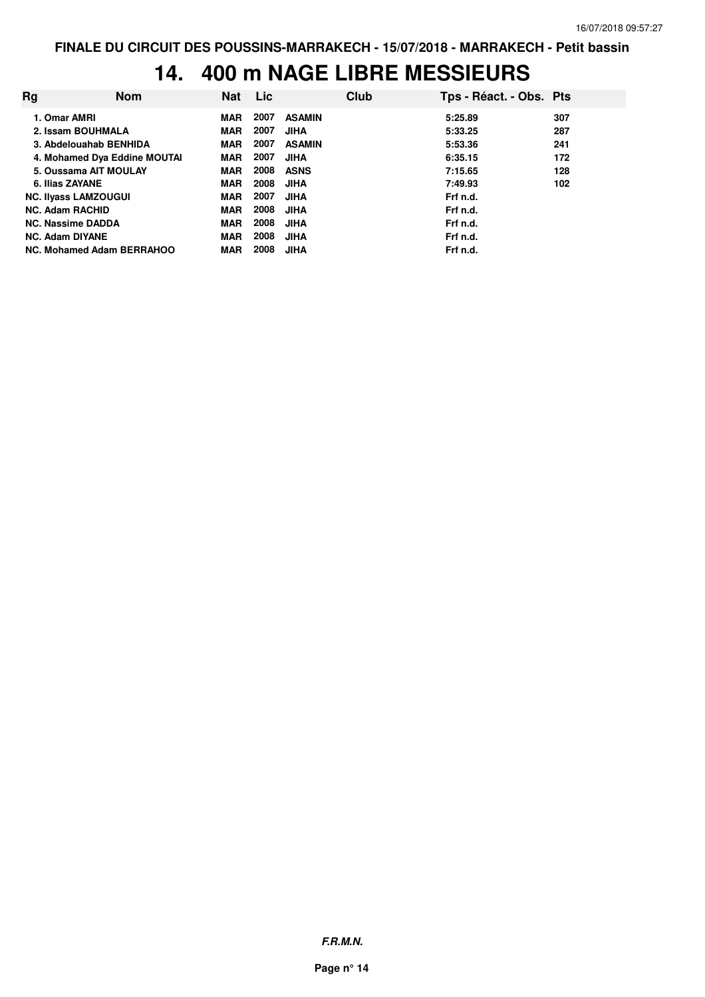# **14. 400 m NAGE LIBRE MESSIEURS**

| Rg                          | <b>Nom</b>                   | <b>Nat</b> | <b>Lic</b> |               | Club | Tps - Réact. - Obs. Pts |     |
|-----------------------------|------------------------------|------------|------------|---------------|------|-------------------------|-----|
|                             | 1. Omar AMRI                 | <b>MAR</b> | 2007       | <b>ASAMIN</b> |      | 5:25.89                 | 307 |
|                             | 2. Issam BOUHMALA            | <b>MAR</b> | 2007       | <b>JIHA</b>   |      | 5:33.25                 | 287 |
|                             | 3. Abdelouahab BENHIDA       | <b>MAR</b> | 2007       | <b>ASAMIN</b> |      | 5:53.36                 | 241 |
|                             | 4. Mohamed Dya Eddine MOUTAI | <b>MAR</b> | 2007       | <b>JIHA</b>   |      | 6:35.15                 | 172 |
|                             | 5. Oussama AIT MOULAY        | MAR        | 2008       | <b>ASNS</b>   |      | 7:15.65                 | 128 |
|                             | 6. Ilias ZAYANE              | MAR        | 2008       | <b>JIHA</b>   |      | 7:49.93                 | 102 |
| <b>NC. Ilyass LAMZOUGUI</b> |                              | MAR        | 2007       | <b>JIHA</b>   |      | Frf n.d.                |     |
|                             | <b>NC. Adam RACHID</b>       | <b>MAR</b> | 2008       | <b>JIHA</b>   |      | Frf n.d.                |     |
| <b>NC. Nassime DADDA</b>    |                              | <b>MAR</b> | 2008       | <b>JIHA</b>   |      | Frf n.d.                |     |
|                             | <b>NC. Adam DIYANE</b>       | <b>MAR</b> | 2008       | <b>JIHA</b>   |      | Frf n.d.                |     |
| NC. Mohamed Adam BERRAHOO   |                              | <b>MAR</b> | 2008       | <b>JIHA</b>   |      | Frf n.d.                |     |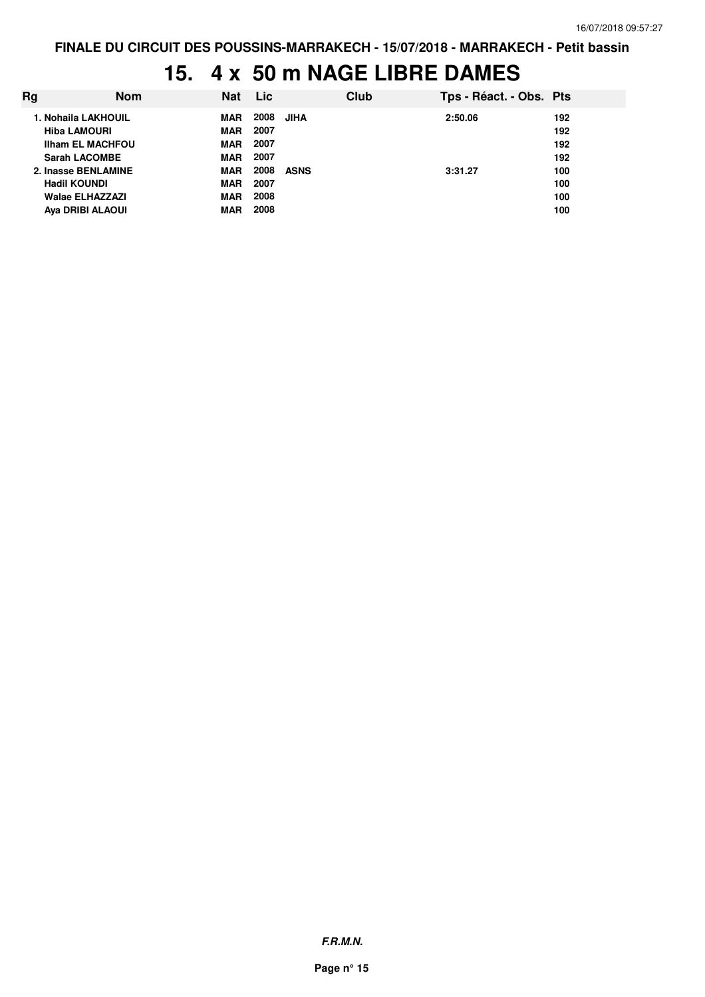# **15. 4 x 50 m NAGE LIBRE DAMES**

| Ra | <b>Nom</b>              | Nat        | Lic       | Club | Tps - Réact. - Obs. Pts |     |
|----|-------------------------|------------|-----------|------|-------------------------|-----|
|    | 1. Nohaila LAKHOUIL     | MAR        | 2008 JIHA |      | 2:50.06                 | 192 |
|    | <b>Hiba LAMOURI</b>     | MAR        | 2007      |      |                         | 192 |
|    | <b>Ilham EL MACHFOU</b> | <b>MAR</b> | 2007      |      |                         | 192 |
|    | <b>Sarah LACOMBE</b>    | <b>MAR</b> | 2007      |      |                         | 192 |
|    | 2. Inasse BENLAMINE     | <b>MAR</b> | 2008      | ASNS | 3:31.27                 | 100 |
|    | <b>Hadil KOUNDI</b>     | MAR        | 2007      |      |                         | 100 |
|    | Walae ELHAZZAZI         | <b>MAR</b> | 2008      |      |                         | 100 |
|    | Aya DRIBI ALAOUI        | <b>MAR</b> | 2008      |      |                         | 100 |
|    |                         |            |           |      |                         |     |